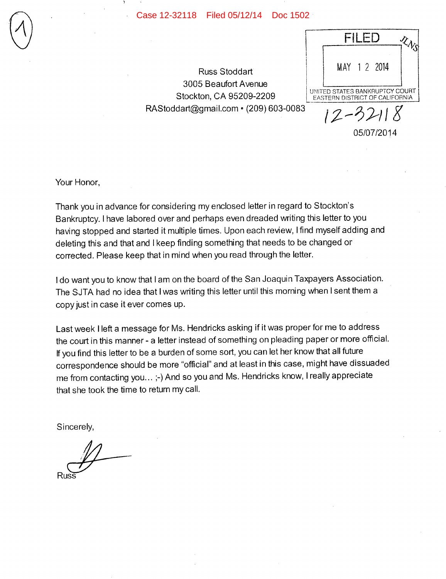Russ Stoddart 3005 Beaufort Avenue Stockton, CA 95209-2209 FILED  $x_{\lambda_S}$ MAY 1 2 2014 UNITED STATES BANKRUPTCY COURT EASTERN DISTRICT OF CALIFORNIA RAStoddart@gmail.com  $\cdot$  (209) 603-0083  $12 - 3211$ 05/07/2014

Your Honor,

Thank you in advance for considering my enclosed letter in regard to Stockton's Bankruptcy. I have labored over and perhaps even dreaded writing this letter to you having stopped and started it multiple times. Upon each review, Ifind myself adding and deleting this and that and I keep finding something that needs to be changed or corrected. Please keep that in mind when you read through the letter.

I do want you to know that I am on the board of the San Joaquin Taxpayers Association. The SJTA had no idea that I was writing this letter until this morning when I sent them a copy just in case it ever comes up.

Last week I left a message for Ms. Hendricks asking if it was proper for me to address the court in this manner - a letter instead of something on pleading paper or more official. If you find this letter to be a burden of some sort, you can let her know that all future correspondence should be more "official" and at least in this case, might have dissuaded me from contacting you... ;-) And so you and Ms. Hendricks know, I really appreciate that she took the time to return my call.

Sincerely,

Russ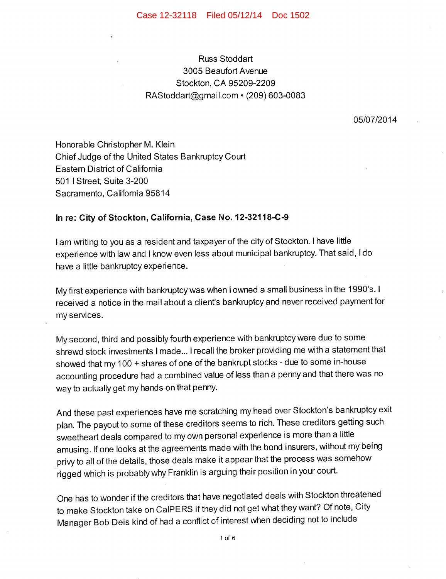## Russ Stoddart 3005 Beaufort Avenue Stockton, CA 95209-2209 RAStoddart@gmail.com  $\cdot$  (209) 603-0083

05/07/2014

Honorable Christopher M. Klein Chief Judge of the United States Bankruptcy Court Eastern District of California 501 I Street, Suite 3-200 Sacramento, California 95814

## **In re: City of Stockton, California, Case No. 12-32118-C-9**

I am writing to you as a resident and taxpayer of the city of Stockton. I have little experience with law and I know even less about municipal bankruptcy. That said, I do have a little bankruptcy experience.

My first experience with bankruptcy was when I owned a small business in the 1990's. I received a notice in the mail about a client's bankruptcy and never received payment for my services.

My second, third and possibly fourth experience with bankruptcy were due to some shrewd stock investments I made... I recall the broker providing me with a statement that showed that my 100 + shares of one of the bankrupt stocks - due to some in-house accounting procedure had a combined value of less than a penny and that there was no way to actually get my hands on that penny.

And these past experiences have me scratching my head over Stockton's bankruptcy exit plan. The payout to some of these creditors seems to rich. These creditors getting such sweetheart deals compared to my own personal experience is more than a little amusing. If one looks at the agreements made with the bond insurers, without my being privy to all of the details, those deals make it appear that the process was somehow rigged which is probablywhy Franklin is arguing their position in your court.

One has to wonder if the creditors that have negotiated deals with Stockton threatened to make Stockton take on CaIPERS if they did not get what they want? Of note, City Manager Bob Deis kind of had a conflict of interest when deciding not to include

1 of 6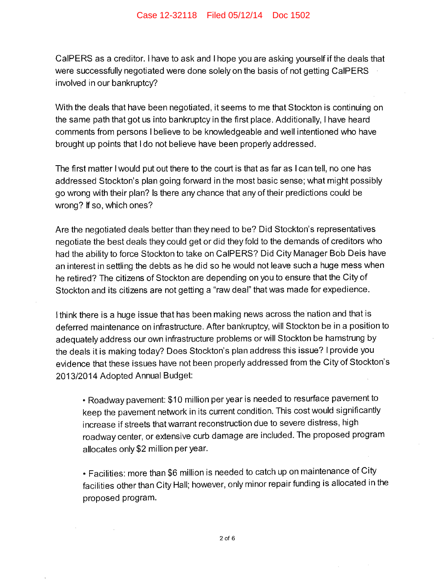CaIPERS as a creditor. I have to ask and I hope you are asking yourself if the deals that were successfully negotiated were done solely on the basis of not getting CaIPERS involved in our bankruptcy?

With the deals that have been negotiated, it seems to me that Stockton is continuing on the same path that got us into bankruptcy in the first place. Additionally, I have heard comments from persons I believe to be knowledgeable and well intentioned who have brought up points that I do not believe have been properly addressed.

The first matter I would put out there to the court is that as far as I can tell, no one has addressed Stockton's plan going forward in the most basic sense; what might possibly go wrong with their plan? Is there any chance that any of their predictions could be wrong? If so, which ones?

Are the negotiated deals better than they need to be? Did Stockton's representatives negotiate the best deals they could get or did they fold to the demands of creditors who had the ability to force Stockton to take on CaIPERS? Did City Manager Bob Deis have an interest in settling the debts as he did so he would not leave such a huge mess when he retired? The citizens of Stockton are depending on you to ensure that the City of Stockton and its citizens are not getting a "raw deal" that was made for expedience.

I think there is a huge issue that has been making news across the nation and that is deferred maintenance on infrastructure. After bankruptcy, will Stockton be in a position to adequately address our own infrastructure problems or will Stockton be hamstrung by the deals it is making today? Does Stockton's plan address this issue? I provide you evidence that these issues have not been properly addressed from the City of Stockton's 2013/2014 Adopted Annual Budget:

• Roadway pavement: \$10 million per year is needed to resurface pavement to keep the pavement network in its current condition. This cost would significantly increase if streets that warrant reconstruction due to severe distress, high roadway center, or extensive curb damage are included. The proposed program allocates only \$2 million per year.

• Facilities: more than \$6 million is needed to catch up on maintenance of City facilities other than City Hall; however, only minor repair funding is allocated in the proposed program.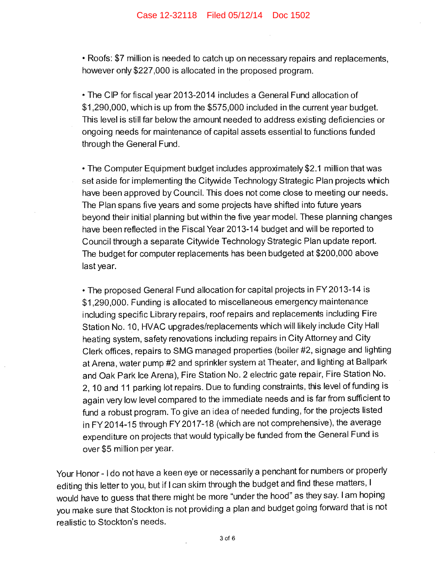• Roofs: \$7 million is needed to catch up on necessary repairs and replacements, however only \$227,000 is allocated in the proposed program.

• The CIP for fiscal year 2013-2014 includes a General Fund allocation of \$1,290,000, which is up from the \$575,000 included in the current year budget. This level is still far below the amount needed to address existing deficiencies or ongoing needs for maintenance of capital assets essential to functions funded through the General Fund.

• The Computer Equipment budget includes approximately \$2.1 million that was set aside for implementing the Citywide Technology Strategic Plan projects which have been approved by Council. This does not come close to meeting our needs. The Plan spans five years and some projects have shifted into future years beyond their initial planning but within the five year model. These planning changes have been reflected in the Fiscal Year 2013-14 budget and will be reported to Council through a separate Citiwide Technology Strategic Plan update report. The budget for computer replacements has been budgeted at \$200,000 above last year.

• The proposed General Fund allocation for capital projects in FY2013-14 is \$1,290,000. Funding is allocated to miscellaneous emergency maintenance including specific Library repairs, roof repairs and replacements including Fire Station No. 10, HVAC upgrades/replacements which will likely include City Hall heating system, safety renovations including repairs in City Attorney and City Clerk offices, repairs to SMG managed properties (boiler #2, signage and lighting at Arena, water pump #2 and sprinkler system at Theater, and lighting at Ballpark and Oak Park Ice Arena), Fire Station No. 2 electric gate repair, Fire Station No. 2, 10 and 11 parking lot repairs. Due to funding constraints, this level of funding is again very low level compared to the immediate needs and is far from sufficient to fund a robust program. To give an idea of needed funding, for the projects listed in FY2014-15 through FY2017-18 (which are not comprehensive), the average expenditure on projects that would typically be funded from the General Fund is over \$5 million per year.

Your Honor - I do not have a keen eye or necessarily a penchant for numbers or properly editing this letter to you, but if I can skim through the budget and find these matters, I would have to guess that there might be more "under the hood" as they say. I am hoping you make sure that Stockton is not providing a plan and budget going forward that is not realistic to Stockton's needs.

3 of 6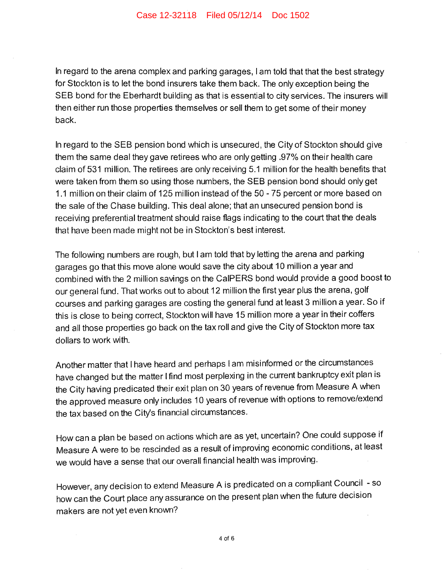In regard to the arena complex and parking garages, I am told that that the best strategy for Stockton is to let the bond insurers take them back. The only exception being the SEB bond for the Eberhardt building as that is essential to city services. The insurers will then either run those properties themselves or sell them to get some of their money back.

In regard to the SEB pension bond which is unsecured, the City of Stockton should give them the same deal they gave retirees who are only getting .97% on their health care claim of 531 million. The retirees are only receiving 5.1 million for the health benefits that were taken from them so using those numbers, the SEB pension bond should only get 1.1 million on their claim of 125 million instead of the 50 -75 percent or more based on the sale of the Chase building. This deal alone; that an unsecured pension bond is receiving preferential treatment should raise flags indicating to the court that the deals that have been made might not be in Stockton's best interest.

The following numbers are rough, but I am told that by letting the arena and parking garages go that this move alone would save the city about 10 million a year and combined with the 2 million savings on the CaIPERS bond would provide a good boost to our general fund. That works out to about 12 million the first year plus the arena, golf courses and parking garages are costing the general fund at least 3 million a year. So if this is close to being correct, Stockton will have 15 million more a year in their coffers and all those properties go back on the tax roll and give the City of Stockton more tax dollars to work with.

Another matter that I have heard and perhaps I am misinformed or the circumstances have changed but the matter I find most perplexing in the current bankruptcy exit plan is the City having predicated their exit plan on 30 years of revenue from Measure A when the approved measure only includes 10 years of revenue with options to remove/extend the tax based on the City's financial circumstances.

How can a plan be based on actions which are as yet, uncertain? One could suppose if Measure A were to be rescinded as a result of improving economic conditions, at least we would have a sense that our overall financial health was improving.

However, any decision to extend Measure A is predicated on a compliant Council - so how can the Court place any assurance on the present plan when the future decision makers are not yet even known?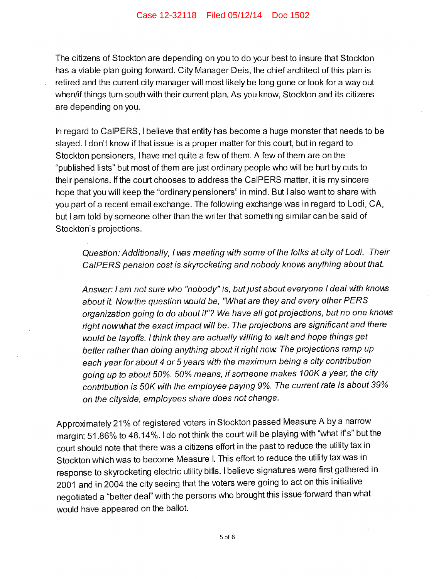The citizens of Stockton are depending on you to do your best to insure that Stockton has a viable plan going forward. City Manager Deis, the chief architect of this plan is retired and the current city manager will most likely be long gone or look for a way out when/if things turn south with their current plan. As you know, Stockton and its citizens are depending on you.

In regard to CaIPERS, I believe that entity has become a huge monster that needs to be slayed. I don't know if that issue is a proper matter for this court, but in regard to Stockton pensioners, I have met quite a few of them. A few of them are on the "published lists" but most of them are just ordinary people who will be hurt by cuts to their pensions. If the court chooses to address the CaIPERS matter, it is my sincere hope that you will keep the "ordinary pensioners" in mind. But I also want to share with you part of a recent email exchange. The following exchange was in regard to Lodi, CA, but I am told by someone other than the writer that something similar can be said of Stockton's projections.

Question: Additionally, I was meeting with some of the folks at city of Lodi. Their CaIPERS pension cost is skyrocketing and nobody knovs anything about that

Answer: I am not sure who "nobody" is, but just about everyone I deal with knows about it. Nowthe question vould be, "What are they and every other PERS organization going to do about it"? We have all got projections, but no one knows right now what the exact impact will be. The projections are significant and there would be layoffs. I think they are actually willing to wait and hope things get better rather than doing anything about it right now The projections ramp up each year for about 4 or 5 years with the maximum being a city contribution going up to about 50%. 50% means, if someone makes 100K a year, the city contribution is 50K Wth the employee paying 9%. The current rate is about 39% on the cityside, employees share does not change.

Approximately 21% of registered voters in Stockton passed Measure A by a narrow margin; 51.86% to 48.14%. I do not think the court will be playing with "what if's" but the court should note that there was a citizens effort in the past to reduce the utility tax in Stockton which was to become Measure I. This effort to reduce the utility tax was in response to skyrocketing electric utility bills. I believe signatures were first gathered in 2001 and in 2004 the city seeing that the voters were going to act on this initiative negotiated a "better deal" with the persons who brought this issue forward than what would have appeared on the ballot.